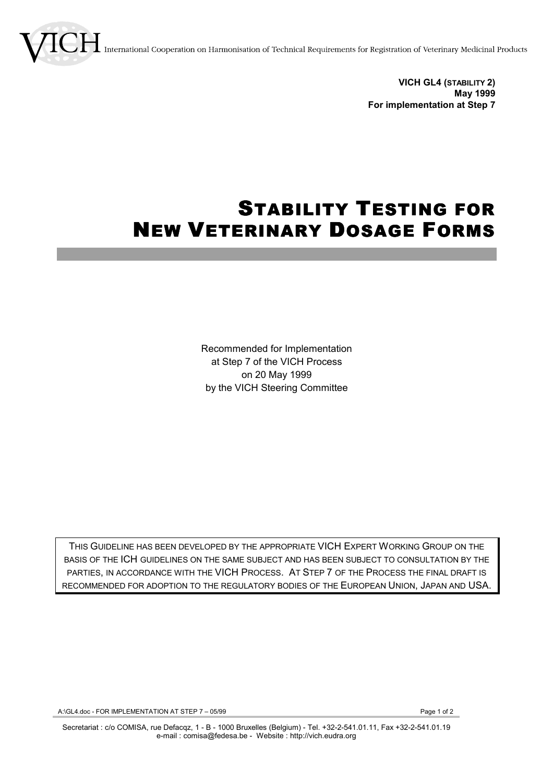nternational Cooperation on Harmonisation of Technical Requirements for Registration of Veterinary Medicinal Products

**VICH GL4 (STABILITY 2) May 1999 For implementation at Step 7**

## STABILITY TESTING FOR NEW VETERINARY DOSAGE FORMS

Recommended for Implementation at Step 7 of the VICH Process on 20 May 1999 by the VICH Steering Committee

THIS GUIDELINE HAS BEEN DEVELOPED BY THE APPROPRIATE VICH EXPERT WORKING GROUP ON THE BASIS OF THE ICH GUIDELINES ON THE SAME SUBJECT AND HAS BEEN SUBJECT TO CONSULTATION BY THE PARTIES, IN ACCORDANCE WITH THE VICH PROCESS. AT STEP 7 OF THE PROCESS THE FINAL DRAFT IS RECOMMENDED FOR ADOPTION TO THE REGULATORY BODIES OF THE EUROPEAN UNION, JAPAN AND USA.

A:\GL4.doc - FOR IMPLEMENTATION AT STEP 7 - 05/99 Page 1 of 2